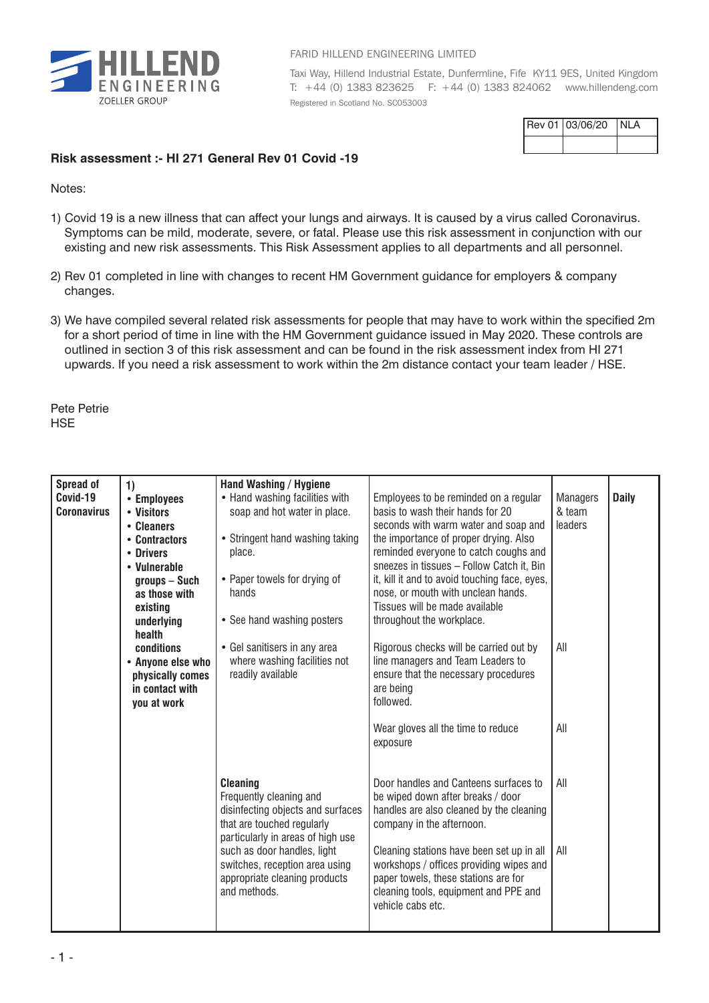

## FARID HILLEND ENGINEERING LIMITED

Taxi Way, Hillend Industrial Estate, Dunfermline, Fife KY11 9ES, United Kingdom T: +44 (0) 1383 823625 F: +44 (0) 1383 824062 www.hillendeng.com Registered in Scotland No. SC053003

| Rev 01 03/06/20 | INLA |
|-----------------|------|
|                 |      |

## **Risk assessment :- HI 271 General Rev 01 Covid -19**

Notes:

- 1) Covid 19 is a new illness that can affect your lungs and airways. It is caused by a virus called Coronavirus. Symptoms can be mild, moderate, severe, or fatal. Please use this risk assessment in conjunction with our existing and new risk assessments. This Risk Assessment applies to all departments and all personnel.
- 2) Rev 01 completed in line with changes to recent HM Government guidance for employers & company changes.
- 3) We have compiled several related risk assessments for people that may have to work within the specified 2m for a short period of time in line with the HM Government guidance issued in May 2020. These controls are outlined in section 3 of this risk assessment and can be found in the risk assessment index from HI 271 upwards. If you need a risk assessment to work within the 2m distance contact your team leader / HSE.

Pete Petrie **HSE** 

| <b>Spread of</b>   | 1)                | Hand Washing / Hygiene            |                                               |                 |              |
|--------------------|-------------------|-----------------------------------|-----------------------------------------------|-----------------|--------------|
| Covid-19           | • Employees       | • Hand washing facilities with    | Employees to be reminded on a regular         | <b>Managers</b> | <b>Daily</b> |
| <b>Coronavirus</b> | • Visitors        | soap and hot water in place.      | basis to wash their hands for 20              | & team          |              |
|                    | • Cleaners        |                                   | seconds with warm water and soap and          | leaders         |              |
|                    | • Contractors     | • Stringent hand washing taking   | the importance of proper drying. Also         |                 |              |
|                    | • Drivers         | place.                            | reminded everyone to catch coughs and         |                 |              |
|                    | • Vulnerable      |                                   | sneezes in tissues - Follow Catch it, Bin     |                 |              |
|                    | groups - Such     | • Paper towels for drying of      | it, kill it and to avoid touching face, eyes, |                 |              |
|                    | as those with     | hands                             | nose, or mouth with unclean hands.            |                 |              |
|                    | existing          |                                   | Tissues will be made available                |                 |              |
|                    | underlying        | • See hand washing posters        | throughout the workplace.                     |                 |              |
|                    | health            |                                   |                                               |                 |              |
|                    | conditions        | • Gel sanitisers in any area      | Rigorous checks will be carried out by        | All             |              |
|                    |                   | where washing facilities not      | line managers and Team Leaders to             |                 |              |
|                    | • Anyone else who | readily available                 | ensure that the necessary procedures          |                 |              |
|                    | physically comes  |                                   |                                               |                 |              |
|                    | in contact with   |                                   | are being                                     |                 |              |
|                    | you at work       |                                   | followed.                                     |                 |              |
|                    |                   |                                   |                                               |                 |              |
|                    |                   |                                   | Wear gloves all the time to reduce            | All             |              |
|                    |                   |                                   | exposure                                      |                 |              |
|                    |                   |                                   |                                               |                 |              |
|                    |                   |                                   |                                               |                 |              |
|                    |                   | <b>Cleaning</b>                   | Door handles and Canteens surfaces to         | All             |              |
|                    |                   | Frequently cleaning and           | be wiped down after breaks / door             |                 |              |
|                    |                   | disinfecting objects and surfaces | handles are also cleaned by the cleaning      |                 |              |
|                    |                   | that are touched regularly        | company in the afternoon.                     |                 |              |
|                    |                   | particularly in areas of high use |                                               |                 |              |
|                    |                   | such as door handles, light       | Cleaning stations have been set up in all     | All             |              |
|                    |                   | switches, reception area using    | workshops / offices providing wipes and       |                 |              |
|                    |                   | appropriate cleaning products     | paper towels, these stations are for          |                 |              |
|                    |                   | and methods.                      | cleaning tools, equipment and PPE and         |                 |              |
|                    |                   |                                   | vehicle cabs etc.                             |                 |              |
|                    |                   |                                   |                                               |                 |              |
|                    |                   |                                   |                                               |                 |              |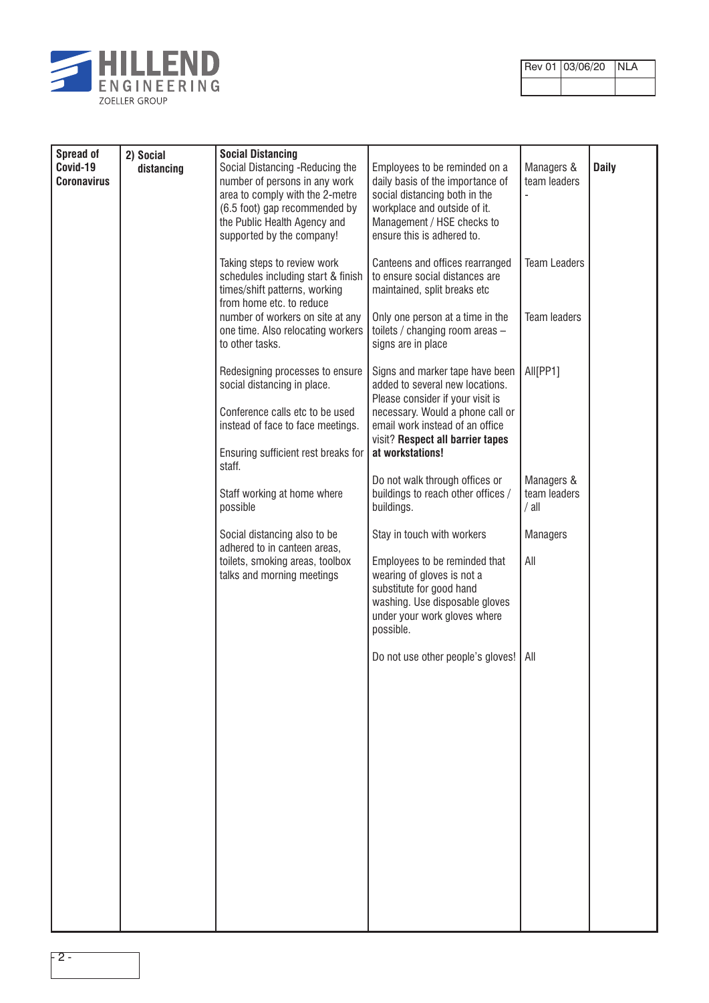

| Rev 01 03/06/20 NLA |  |
|---------------------|--|
|                     |  |

┑

| Spread of<br>Covid-19<br><b>Coronavirus</b> | 2) Social<br>distancing | <b>Social Distancing</b><br>Social Distancing -Reducing the<br>number of persons in any work<br>area to comply with the 2-metre<br>(6.5 foot) gap recommended by<br>the Public Health Agency and<br>supported by the company! | Employees to be reminded on a<br>daily basis of the importance of<br>social distancing both in the<br>workplace and outside of it.<br>Management / HSE checks to<br>ensure this is adhered to. | Managers &<br>team leaders          | <b>Daily</b> |
|---------------------------------------------|-------------------------|-------------------------------------------------------------------------------------------------------------------------------------------------------------------------------------------------------------------------------|------------------------------------------------------------------------------------------------------------------------------------------------------------------------------------------------|-------------------------------------|--------------|
|                                             |                         | Taking steps to review work<br>schedules including start & finish<br>times/shift patterns, working<br>from home etc. to reduce                                                                                                | Canteens and offices rearranged<br>to ensure social distances are<br>maintained, split breaks etc                                                                                              | <b>Team Leaders</b>                 |              |
|                                             |                         | number of workers on site at any<br>one time. Also relocating workers<br>to other tasks.                                                                                                                                      | Only one person at a time in the<br>toilets / changing room areas -<br>signs are in place                                                                                                      | <b>Team leaders</b>                 |              |
|                                             |                         | Redesigning processes to ensure<br>social distancing in place.<br>Conference calls etc to be used<br>instead of face to face meetings.                                                                                        | Signs and marker tape have been<br>added to several new locations.<br>Please consider if your visit is<br>necessary. Would a phone call or<br>email work instead of an office                  | All[PP1]                            |              |
|                                             |                         | Ensuring sufficient rest breaks for<br>staff.                                                                                                                                                                                 | visit? Respect all barrier tapes<br>at workstations!                                                                                                                                           |                                     |              |
|                                             |                         | Staff working at home where<br>possible                                                                                                                                                                                       | Do not walk through offices or<br>buildings to reach other offices /<br>buildings.                                                                                                             | Managers &<br>team leaders<br>/ all |              |
|                                             |                         | Social distancing also to be<br>adhered to in canteen areas,                                                                                                                                                                  | Stay in touch with workers                                                                                                                                                                     | <b>Managers</b><br>All              |              |
|                                             |                         | toilets, smoking areas, toolbox<br>talks and morning meetings                                                                                                                                                                 | Employees to be reminded that<br>wearing of gloves is not a<br>substitute for good hand<br>washing. Use disposable gloves<br>under your work gloves where<br>possible.                         |                                     |              |
|                                             |                         |                                                                                                                                                                                                                               | Do not use other people's gloves!                                                                                                                                                              | All                                 |              |
|                                             |                         |                                                                                                                                                                                                                               |                                                                                                                                                                                                |                                     |              |
|                                             |                         |                                                                                                                                                                                                                               |                                                                                                                                                                                                |                                     |              |
|                                             |                         |                                                                                                                                                                                                                               |                                                                                                                                                                                                |                                     |              |
|                                             |                         |                                                                                                                                                                                                                               |                                                                                                                                                                                                |                                     |              |
|                                             |                         |                                                                                                                                                                                                                               |                                                                                                                                                                                                |                                     |              |
|                                             |                         |                                                                                                                                                                                                                               |                                                                                                                                                                                                |                                     |              |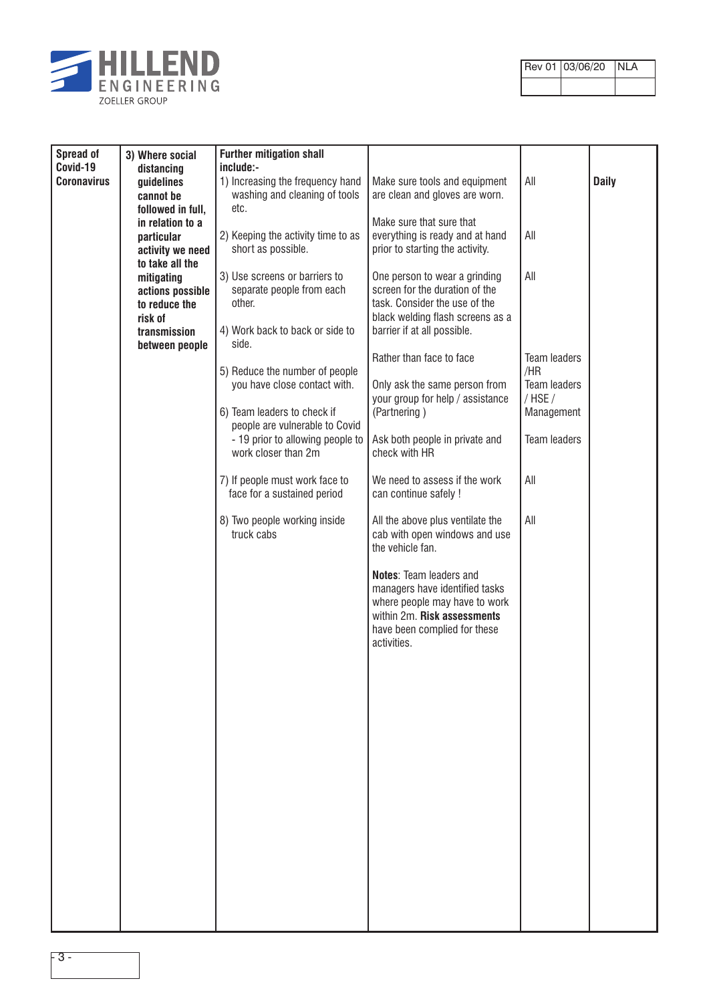

| Rev 01 03/06/20 NLA |  |
|---------------------|--|
|                     |  |

| Spread of<br>Covid-19 | 3) Where social<br>distancing                                                                                   | <b>Further mitigation shall</b><br>include:-                                                                     |                                                                                                                                                                                 |                                                |              |
|-----------------------|-----------------------------------------------------------------------------------------------------------------|------------------------------------------------------------------------------------------------------------------|---------------------------------------------------------------------------------------------------------------------------------------------------------------------------------|------------------------------------------------|--------------|
| <b>Coronavirus</b>    | guidelines<br>cannot be                                                                                         | 1) Increasing the frequency hand<br>washing and cleaning of tools<br>etc.                                        | Make sure tools and equipment<br>are clean and gloves are worn.                                                                                                                 | All                                            | <b>Daily</b> |
|                       | followed in full,<br>in relation to a<br>particular<br>activity we need                                         | 2) Keeping the activity time to as<br>short as possible.                                                         | Make sure that sure that<br>everything is ready and at hand<br>prior to starting the activity.                                                                                  | All                                            |              |
|                       | to take all the<br>mitigating<br>actions possible<br>to reduce the<br>risk of<br>transmission<br>between people | 3) Use screens or barriers to<br>separate people from each<br>other.<br>4) Work back to back or side to<br>side. | One person to wear a grinding<br>screen for the duration of the<br>task. Consider the use of the<br>black welding flash screens as a<br>barrier if at all possible.             | All                                            |              |
|                       |                                                                                                                 | 5) Reduce the number of people<br>you have close contact with.<br>6) Team leaders to check if                    | Rather than face to face<br>Only ask the same person from<br>your group for help / assistance<br>(Partnering)                                                                   | Team leaders<br>/HR<br>Team leaders<br>/ HSE / |              |
|                       |                                                                                                                 | people are vulnerable to Covid<br>- 19 prior to allowing people to<br>work closer than 2m                        | Ask both people in private and<br>check with HR                                                                                                                                 | Management<br><b>Team leaders</b>              |              |
|                       |                                                                                                                 | 7) If people must work face to<br>face for a sustained period                                                    | We need to assess if the work<br>can continue safely !                                                                                                                          | All                                            |              |
|                       |                                                                                                                 | 8) Two people working inside<br>truck cabs                                                                       | All the above plus ventilate the<br>cab with open windows and use<br>the vehicle fan.                                                                                           | All                                            |              |
|                       |                                                                                                                 |                                                                                                                  | <b>Notes: Team leaders and</b><br>managers have identified tasks<br>where people may have to work<br>within 2m. Risk assessments<br>have been complied for these<br>activities. |                                                |              |
|                       |                                                                                                                 |                                                                                                                  |                                                                                                                                                                                 |                                                |              |
|                       |                                                                                                                 |                                                                                                                  |                                                                                                                                                                                 |                                                |              |
|                       |                                                                                                                 |                                                                                                                  |                                                                                                                                                                                 |                                                |              |
|                       |                                                                                                                 |                                                                                                                  |                                                                                                                                                                                 |                                                |              |
|                       |                                                                                                                 |                                                                                                                  |                                                                                                                                                                                 |                                                |              |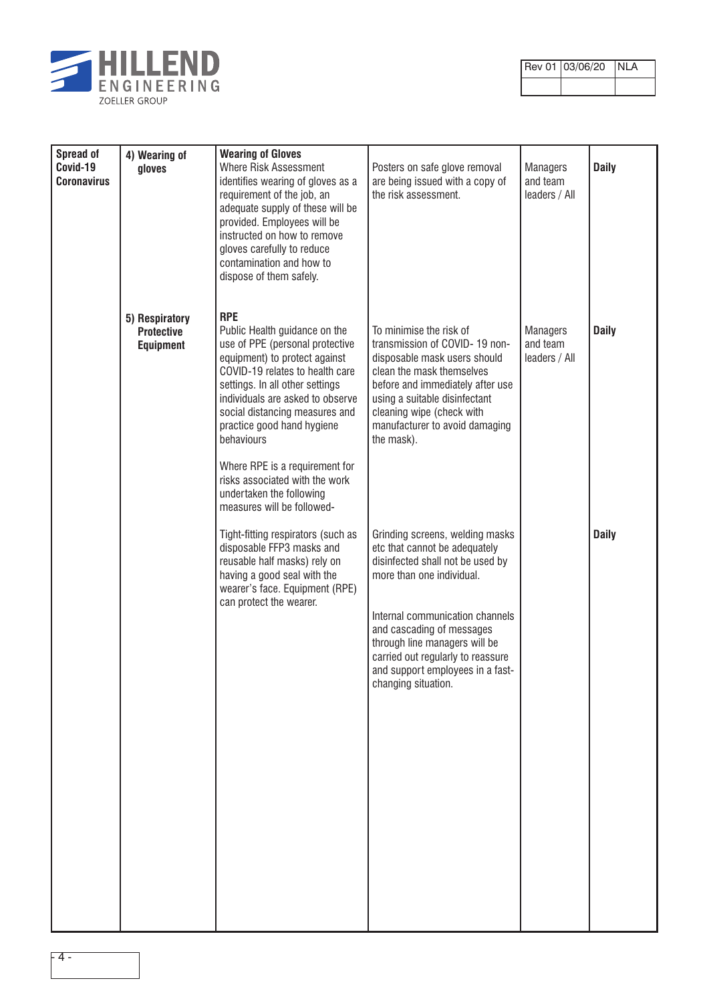

| Rev 01 03/06/20 NLA |  |
|---------------------|--|
|                     |  |

| Spread of<br>Covid-19<br><b>Coronavirus</b> | 4) Wearing of<br>gloves                                 | <b>Wearing of Gloves</b><br><b>Where Risk Assessment</b><br>identifies wearing of gloves as a                                                                                                                                                                                                                                                                                                                                         | Posters on safe glove removal<br>are being issued with a copy of                                                                                                                                                                                                                                                                   | <b>Managers</b><br>and team                  | <b>Daily</b> |
|---------------------------------------------|---------------------------------------------------------|---------------------------------------------------------------------------------------------------------------------------------------------------------------------------------------------------------------------------------------------------------------------------------------------------------------------------------------------------------------------------------------------------------------------------------------|------------------------------------------------------------------------------------------------------------------------------------------------------------------------------------------------------------------------------------------------------------------------------------------------------------------------------------|----------------------------------------------|--------------|
|                                             |                                                         | requirement of the job, an<br>adequate supply of these will be<br>provided. Employees will be<br>instructed on how to remove<br>gloves carefully to reduce<br>contamination and how to<br>dispose of them safely.                                                                                                                                                                                                                     | the risk assessment.                                                                                                                                                                                                                                                                                                               | leaders / All                                |              |
|                                             | 5) Respiratory<br><b>Protective</b><br><b>Equipment</b> | <b>RPE</b><br>Public Health guidance on the<br>use of PPE (personal protective<br>equipment) to protect against<br>COVID-19 relates to health care<br>settings. In all other settings<br>individuals are asked to observe<br>social distancing measures and<br>practice good hand hygiene<br>behaviours<br>Where RPE is a requirement for<br>risks associated with the work<br>undertaken the following<br>measures will be followed- | To minimise the risk of<br>transmission of COVID-19 non-<br>disposable mask users should<br>clean the mask themselves<br>before and immediately after use<br>using a suitable disinfectant<br>cleaning wipe (check with<br>manufacturer to avoid damaging<br>the mask).                                                            | <b>Managers</b><br>and team<br>leaders / All | <b>Daily</b> |
|                                             |                                                         | Tight-fitting respirators (such as<br>disposable FFP3 masks and<br>reusable half masks) rely on<br>having a good seal with the<br>wearer's face. Equipment (RPE)<br>can protect the wearer.                                                                                                                                                                                                                                           | Grinding screens, welding masks<br>etc that cannot be adequately<br>disinfected shall not be used by<br>more than one individual.<br>Internal communication channels<br>and cascading of messages<br>through line managers will be<br>carried out regularly to reassure<br>and support employees in a fast-<br>changing situation. |                                              | <b>Daily</b> |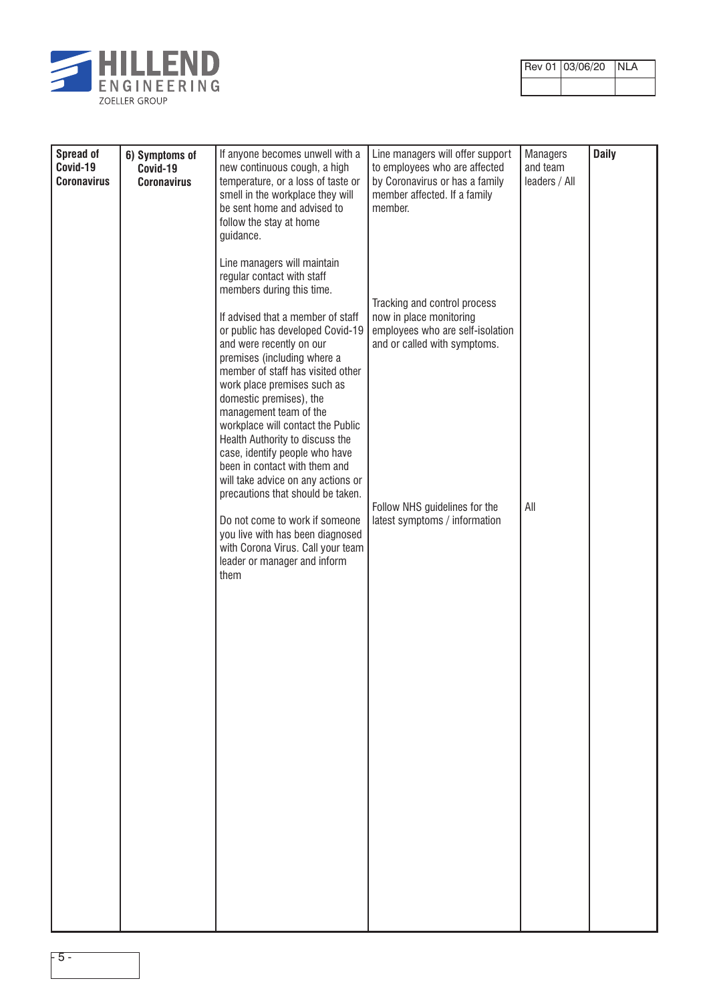

| Rev 01 03/06/20 NLA |  |
|---------------------|--|
|                     |  |

| <b>Spread of</b><br>Covid-19<br><b>Coronavirus</b> | 6) Symptoms of<br>Covid-19<br><b>Coronavirus</b> | If anyone becomes unwell with a<br>new continuous cough, a high<br>temperature, or a loss of taste or<br>smell in the workplace they will<br>be sent home and advised to<br>follow the stay at home<br>guidance.                                                                                                                                                                         | Line managers will offer support<br>to employees who are affected<br>by Coronavirus or has a family<br>member affected. If a family<br>member. | <b>Managers</b><br>and team<br>leaders / All | <b>Daily</b> |
|----------------------------------------------------|--------------------------------------------------|------------------------------------------------------------------------------------------------------------------------------------------------------------------------------------------------------------------------------------------------------------------------------------------------------------------------------------------------------------------------------------------|------------------------------------------------------------------------------------------------------------------------------------------------|----------------------------------------------|--------------|
|                                                    |                                                  | Line managers will maintain<br>regular contact with staff<br>members during this time.<br>If advised that a member of staff<br>or public has developed Covid-19<br>and were recently on our<br>premises (including where a<br>member of staff has visited other<br>work place premises such as<br>domestic premises), the<br>management team of the<br>workplace will contact the Public | Tracking and control process<br>now in place monitoring<br>employees who are self-isolation<br>and or called with symptoms.                    |                                              |              |
|                                                    |                                                  | Health Authority to discuss the<br>case, identify people who have<br>been in contact with them and<br>will take advice on any actions or<br>precautions that should be taken.<br>Do not come to work if someone<br>you live with has been diagnosed<br>with Corona Virus. Call your team<br>leader or manager and inform<br>them                                                         | Follow NHS guidelines for the<br>latest symptoms / information                                                                                 | All                                          |              |
|                                                    |                                                  |                                                                                                                                                                                                                                                                                                                                                                                          |                                                                                                                                                |                                              |              |
|                                                    |                                                  |                                                                                                                                                                                                                                                                                                                                                                                          |                                                                                                                                                |                                              |              |